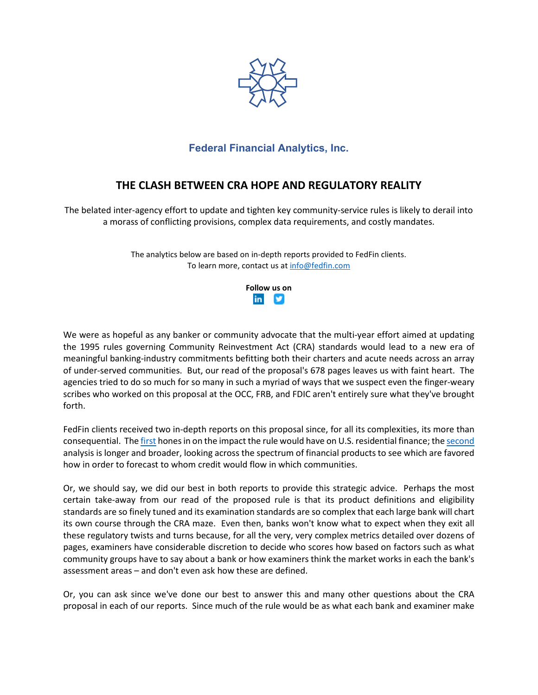

## **[Federal Financial Analytics, Inc.](http://www.fedfin.com/)**

## **THE CLASH BETWEEN CRA HOPE AND REGULATORY REALITY**

The belated inter-agency effort to update and tighten key community-service rules is likely to derail into a morass of conflicting provisions, complex data requirements, and costly mandates.

> The analytics below are based on in-depth reports provided to FedFin clients. To learn more, contact us at [info@fedfin.com](mailto:info@fedfin.com)



We were as hopeful as any banker or community advocate that the multi-year effort aimed at updating the 1995 rules governing Community Reinvestment Act (CRA) standards would lead to a new era of meaningful banking-industry commitments befitting both their charters and acute needs across an array of under-served communities. But, our read of the proposal's 678 pages leaves us with faint heart. The agencies tried to do so much for so many in such a myriad of ways that we suspect even the finger-weary scribes who worked on this proposal at the OCC, FRB, and FDIC aren't entirely sure what they've brought forth.

FedFin clients received two in-depth reports on this proposal since, for all its complexities, its more than consequential. Th[e first](https://fedfin.com/wp-content/uploads/2022/05/GSE-051622.pdf) hones in on the impact the rule would have on U.S. residential finance; th[e second](https://fedfin.com/wp-content/uploads/2022/05/CRA32.pdf) analysis is longer and broader, looking across the spectrum of financial products to see which are favored how in order to forecast to whom credit would flow in which communities.

Or, we should say, we did our best in both reports to provide this strategic advice. Perhaps the most certain take-away from our read of the proposed rule is that its product definitions and eligibility standards are so finely tuned and its examination standards are so complex that each large bank will chart its own course through the CRA maze. Even then, banks won't know what to expect when they exit all these regulatory twists and turns because, for all the very, very complex metrics detailed over dozens of pages, examiners have considerable discretion to decide who scores how based on factors such as what community groups have to say about a bank or how examiners think the market works in each the bank's assessment areas – and don't even ask how these are defined.

Or, you can ask since we've done our best to answer this and many other questions about the CRA proposal in each of our reports. Since much of the rule would be as what each bank and examiner make